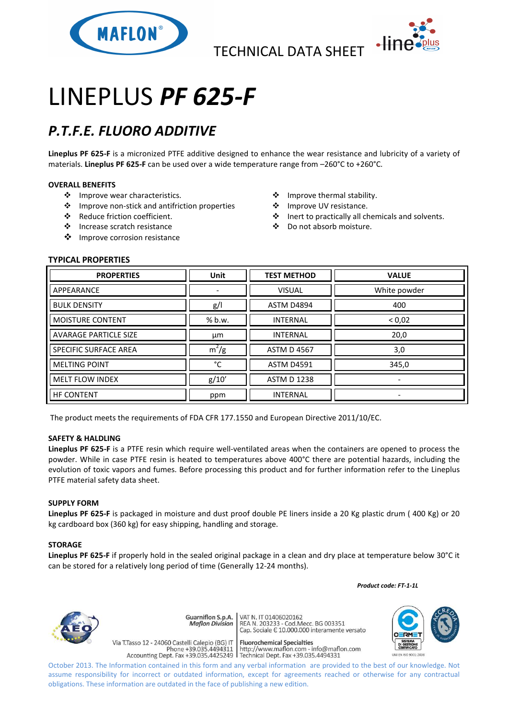

TECHNICAL DATA SHEET



# LINEPLUS *PF 625-F*

## *P.T.F.E. FLUORO ADDITIVE*

**Lineplus PF 625-F** is a micronized PTFE additive designed to enhance the wear resistance and lubricity of a variety of materials. **Lineplus PF 625-F** can be used over a wide temperature range from –260°C to +260°C.

#### **OVERALL BENEFITS**

- ❖ Improve wear characteristics.
- Improve non-stick and antifriction properties
- Reduce friction coefficient.
- Increase scratch resistance
- ❖ Improve corrosion resistance
- ❖ Improve thermal stability.
- ❖ Improve UV resistance.
- Inert to practically all chemicals and solvents.
- Do not absorb moisture.

### **TYPICAL PROPERTIES**

| <b>PROPERTIES</b>            | <b>Unit</b> | <b>TEST METHOD</b> | <b>VALUE</b>             |
|------------------------------|-------------|--------------------|--------------------------|
| APPEARANCE                   |             | <b>VISUAL</b>      | White powder             |
| <b>BULK DENSITY</b>          | g/          | ASTM D4894         | 400                      |
| <b>MOISTURE CONTENT</b>      | % b.w.      | <b>INTERNAL</b>    | < 0.02                   |
| <b>AVARAGE PARTICLE SIZE</b> | μm          | <b>INTERNAL</b>    | 20,0                     |
| <b>SPECIFIC SURFACE AREA</b> | $m^2/g$     | <b>ASTM D 4567</b> | 3,0                      |
| <b>MELTING POINT</b>         | °C          | <b>ASTM D4591</b>  | 345,0                    |
| <b>MELT FLOW INDEX</b>       | g/10'       | <b>ASTM D 1238</b> | $\overline{\phantom{a}}$ |
| <b>HF CONTENT</b>            | ppm         | <b>INTERNAL</b>    |                          |

The product meets the requirements of FDA CFR 177.1550 and European Directive 2011/10/EC.

#### **SAFETY & HALDLING**

**Lineplus PF 625-F** is a PTFE resin which require well-ventilated areas when the containers are opened to process the powder. While in case PTFE resin is heated to temperatures above 400°C there are potential hazards, including the evolution of toxic vapors and fumes. Before processing this product and for further information refer to the Lineplus PTFE material safety data sheet.

#### **SUPPLY FORM**

**Lineplus PF 625-F** is packaged in moisture and dust proof double PE liners inside a 20 Kg plastic drum ( 400 Kg) or 20 kg cardboard box (360 kg) for easy shipping, handling and storage.

#### **STORAGE**

**Lineplus PF 625-F** if properly hold in the sealed original package in a clean and dry place at temperature below 30°C it can be stored for a relatively long period of time (Generally 12-24 months).

 *Product code: FT-1-1L*



VAT N. IT 01406020162 Guarniflon S.p.A. **Maflon Division** 

Via T.Tasso 12 - 24060 Castelli Calepio (BG) IT

REA N. 11 01400020102<br>REA N. 203233 - Cod.Mecc. BG 003351<br>Cap. Sociale E 10.000.000 interamente versato

**Fluorochemical Specialties** rideso 12 - 24060 Castelli Calepio (BG) if<br>Phone +39.035.4494311 http://www.maflon.com - info@maflon.com<br>Accounting Dept. Fax +39.035.4425249 Technical Dept. Fax +39.035.4494331



October 2013. The Information contained in this form and any verbal information are provided to the best of our knowledge. Not assume responsibility for incorrect or outdated information, except for agreements reached or otherwise for any contractual obligations. These information are outdated in the face of publishing a new edition.